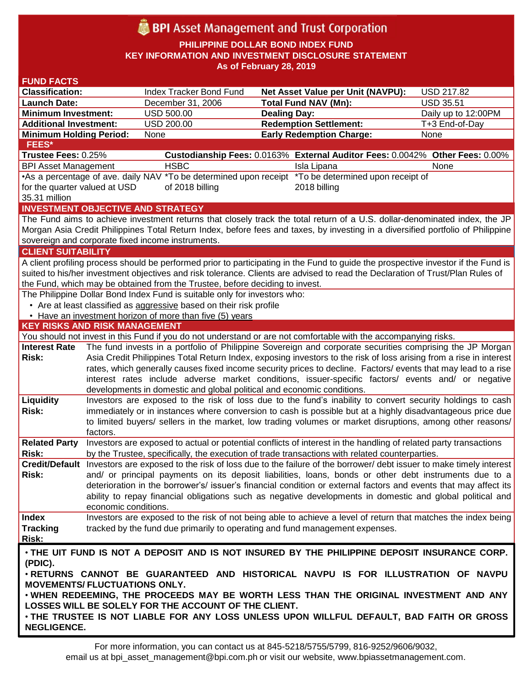# **BPI** Asset Management and Trust Corporation

**PHILIPPINE DOLLAR BOND INDEX FUND KEY INFORMATION AND INVESTMENT DISCLOSURE STATEMENT As of February 28, 2019**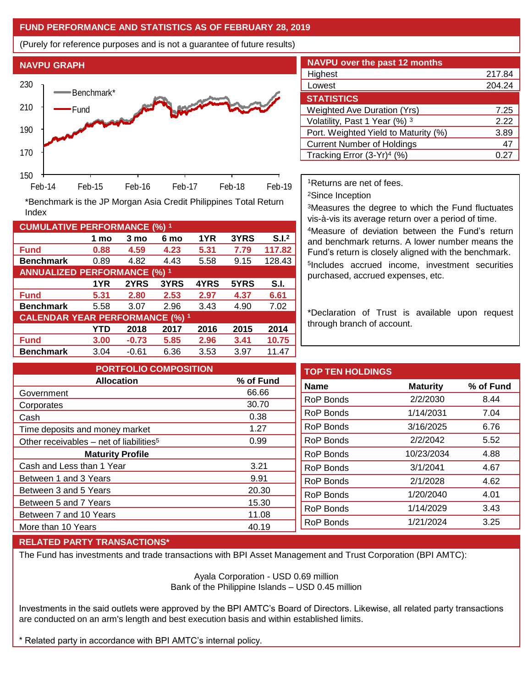## **FUND PERFORMANCE AND STATISTICS AS OF FEBRUARY 28, 2019**

(Purely for reference purposes and is not a guarantee of future results)



**Fund 0.88 4.59 4.23 5.31 7.79 117.82 Benchmark** 0.89 4.82 4.43 5.58 9.15 128.43

\*Benchmark is the JP Morgan Asia Credit Philippines Total Return

**Fund 5.31 2.80 2.53 2.97 4.37 6.61 Benchmark** 5.58 3.07 2.96 3.43 4.90 7.02

**Fund 3.00 -0.73 5.85 2.96 3.41 10.75 Benchmark** 3.04 -0.61 6.36 3.53 3.97 11.47

**1 mo 3 mo 6 mo 1YR 3YRS S.I.<sup>2</sup>**

**1YR 2YRS 3YRS 4YRS 5YRS S.I.**

**YTD 2018 2017 2016 2015 2014**

| <b>NAVPU over the past 12 months</b>   |               |
|----------------------------------------|---------------|
| Highest                                | 217.84        |
| Lowest                                 | 204.24        |
| <b>STATISTICS</b>                      |               |
| <b>Weighted Ave Duration (Yrs)</b>     | 7.25          |
| Volatility, Past 1 Year (%) 3          | 2.22          |
| Port. Weighted Yield to Maturity (%)   | 3.89          |
| <b>Current Number of Holdings</b>      | 47            |
| Tracking Error (3-Yr) <sup>4</sup> (%) | $0.2^{\circ}$ |

<sup>1</sup>Returns are net of fees.

<sup>2</sup>Since Inception

<sup>3</sup>Measures the degree to which the Fund fluctuates vis-à-vis its average return over a period of time.

<sup>4</sup>Measure of deviation between the Fund's return and benchmark returns. A lower number means the Fund's return is closely aligned with the benchmark. 5 Includes accrued income, investment securities purchased, accrued expenses, etc.

\*Declaration of Trust is available upon request through branch of account.

**TOP TEN HOLDINGS Name Maturity % of Fund** RoP Bonds 2/2/2030 8.44 RoP Bonds 1/14/2031 7.04 RoP Bonds 3/16/2025 6.76 RoP Bonds 2/2/2042 5.52 RoP Bonds 10/23/2034 4.88 RoP Bonds 3/1/2041 4.67 RoP Bonds 2/1/2028 4.62 RoP Bonds 1/20/2040 4.01 RoP Bonds 1/14/2029 3.43 RoP Bonds 1/21/2024 3.25 **PORTFOLIO COMPOSITION Allocation % of Fund** Government 66.66 Corporates 30.70 Cash 0.38 Time deposits and money market 1.27 Other receivables – net of liabilities<sup>5</sup>  $0.99$ **Maturity Profile** Cash and Less than 1 Year 3.21 Between 1 and 3 Years 9.91 Between 3 and 5 Years 20.30 Between 5 and 7 Years 15.30 Between 7 and 10 Years 11.08 More than 10 Years 40.19

### **RELATED PARTY TRANSACTIONS\***

**CUMULATIVE PERFORMANCE (%) <sup>1</sup>**

Index

**ANNUALIZED PERFORMANCE (%) <sup>1</sup>**

**CALENDAR YEAR PERFORMANCE (%) <sup>1</sup>**

The Fund has investments and trade transactions with BPI Asset Management and Trust Corporation (BPI AMTC):

Ayala Corporation - USD 0.69 million Bank of the Philippine Islands – USD 0.45 million

Investments in the said outlets were approved by the BPI AMTC's Board of Directors. Likewise, all related party transactions are conducted on an arm's length and best execution basis and within established limits.

\* Related party in accordance with BPI AMTC's internal policy.